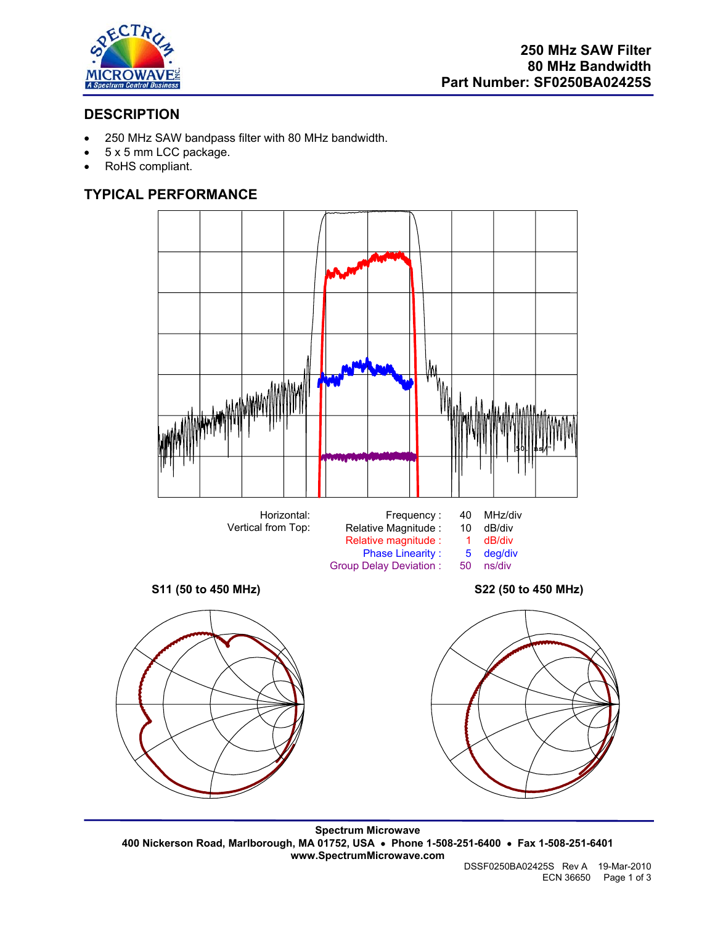

# **DESCRIPTION**

- 250 MHz SAW bandpass filter with 80 MHz bandwidth.
- 5 x 5 mm LCC package.
- RoHS compliant.

# **TYPICAL PERFORMANCE**



**Spectrum Microwave 400 Nickerson Road, Marlborough, MA 01752, USA** • **Phone 1-508-251-6400** • **Fax 1-508-251-6401 www.SpectrumMicrowave.com**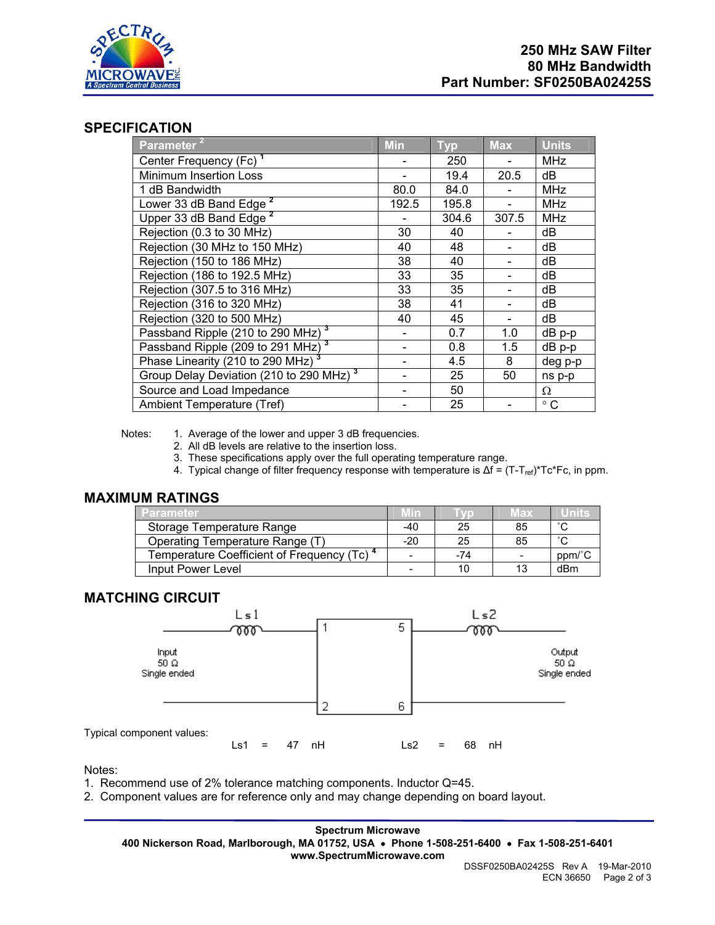

## **SPECIFICATION**

| Parameter $^2$                                      | <b>Min</b> | <b>Typ</b> | <b>Max</b> | <b>Units</b> |
|-----------------------------------------------------|------------|------------|------------|--------------|
| Center Frequency (Fc) <sup>1</sup>                  |            | 250        |            | <b>MHz</b>   |
| <b>Minimum Insertion Loss</b>                       |            | 19.4       | 20.5       | dB           |
| 1 dB Bandwidth                                      | 80.0       | 84.0       |            | <b>MHz</b>   |
| Lower 33 dB Band Edge <sup>2</sup>                  | 192.5      | 195.8      |            | <b>MHz</b>   |
| Upper 33 dB Band Edge <sup>2</sup>                  |            | 304.6      | 307.5      | <b>MHz</b>   |
| Rejection (0.3 to 30 MHz)                           | 30         | 40         |            | dB           |
| Rejection (30 MHz to 150 MHz)                       | 40         | 48         |            | dB           |
| Rejection (150 to 186 MHz)                          | 38         | 40         |            | dB           |
| Rejection (186 to 192.5 MHz)                        | 33         | 35         |            | dB           |
| Rejection (307.5 to 316 MHz)                        | 33         | 35         |            | dB           |
| Rejection (316 to 320 MHz)                          | 38         | 41         |            | dB           |
| Rejection (320 to 500 MHz)                          | 40         | 45         |            | dB           |
| Passband Ripple (210 to 290 MHz) <sup>3</sup>       |            | 0.7        | 1.0        | $dB$ p-p     |
| Passband Ripple (209 to 291 MHz) <sup>3</sup>       |            | 0.8        | 1.5        | $dB$ $p-p$   |
| Phase Linearity (210 to 290 MHz) <sup>3</sup>       |            | 4.5        | 8          | deg p-p      |
| Group Delay Deviation (210 to 290 MHz) <sup>3</sup> |            | 25         | 50         | ns p-p       |
| Source and Load Impedance                           |            | 50         |            | Ω            |
| Ambient Temperature (Tref)                          |            | 25         |            | $^{\circ}$ C |

Notes: 1. Average of the lower and upper 3 dB frequencies.

- 2. All dB levels are relative to the insertion loss.
- 3. These specifications apply over the full operating temperature range.
- 4. Typical change of filter frequency response with temperature is  $\Delta f = (T-T_{ref})^*Tc^*Fc$ , in ppm.

## **MAXIMUM RATINGS**

| <b>Parameter</b>                                       | <u>Minz</u> |       | Max | Units  |
|--------------------------------------------------------|-------------|-------|-----|--------|
| Storage Temperature Range                              | -40         | 25    | 85  | $\sim$ |
| Operating Temperature Range (T)                        | $-20$       | 25    | 85  | $\sim$ |
| Temperature Coefficient of Frequency (Tc) <sup>4</sup> |             | $-74$ |     | ppm/°C |
| Input Power Level                                      |             |       | 13  | dBm    |

## **MATCHING CIRCUIT**



Notes:

- 1. Recommend use of 2% tolerance matching components. Inductor Q=45.
- 2. Component values are for reference only and may change depending on board layout.

**Spectrum Microwave 400 Nickerson Road, Marlborough, MA 01752, USA** • **Phone 1-508-251-6400** • **Fax 1-508-251-6401 www.SpectrumMicrowave.com**